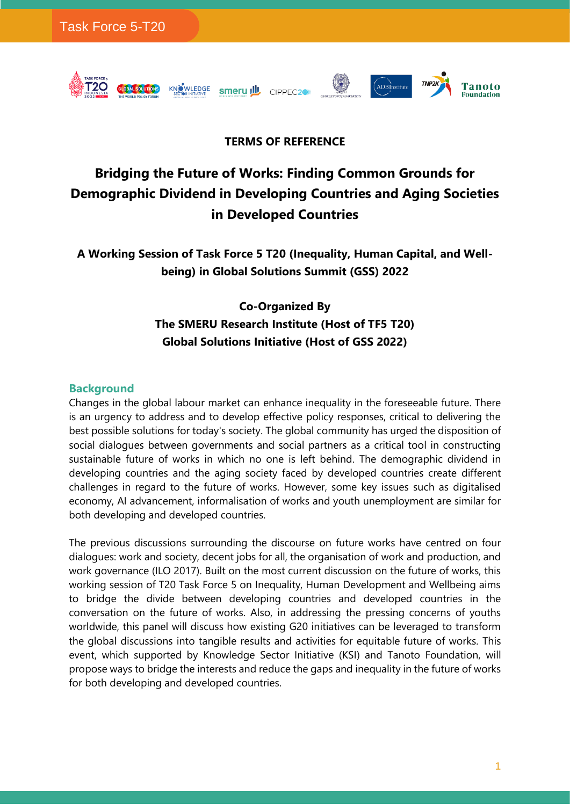

# **TERMS OF REFERENCE**

 $\langle \cdot \rangle$ 

ADBInstitute

Tanoto

**coundation** 

# **Bridging the Future of Works: Finding Common Grounds for Demographic Dividend in Developing Countries and Aging Societies in Developed Countries**

**A Working Session of Task Force 5 T20 (Inequality, Human Capital, and Wellbeing) in Global Solutions Summit (GSS) 2022**

# **Co-Organized By The SMERU Research Institute (Host of TF5 T20) Global Solutions Initiative (Host of GSS 2022)**

#### **Background**

Changes in the global labour market can enhance inequality in the foreseeable future. There is an urgency to address and to develop effective policy responses, critical to delivering the best possible solutions for today's society. The global community has urged the disposition of social dialogues between governments and social partners as a critical tool in constructing sustainable future of works in which no one is left behind. The demographic dividend in developing countries and the aging society faced by developed countries create different challenges in regard to the future of works. However, some key issues such as digitalised economy, AI advancement, informalisation of works and youth unemployment are similar for both developing and developed countries.

The previous discussions surrounding the discourse on future works have centred on four dialogues: work and society, decent jobs for all, the organisation of work and production, and work governance (ILO 2017). Built on the most current discussion on the future of works, this working session of T20 Task Force 5 on Inequality, Human Development and Wellbeing aims to bridge the divide between developing countries and developed countries in the conversation on the future of works. Also, in addressing the pressing concerns of youths worldwide, this panel will discuss how existing G20 initiatives can be leveraged to transform the global discussions into tangible results and activities for equitable future of works. This event, which supported by Knowledge Sector Initiative (KSI) and Tanoto Foundation, will propose ways to bridge the interests and reduce the gaps and inequality in the future of works for both developing and developed countries.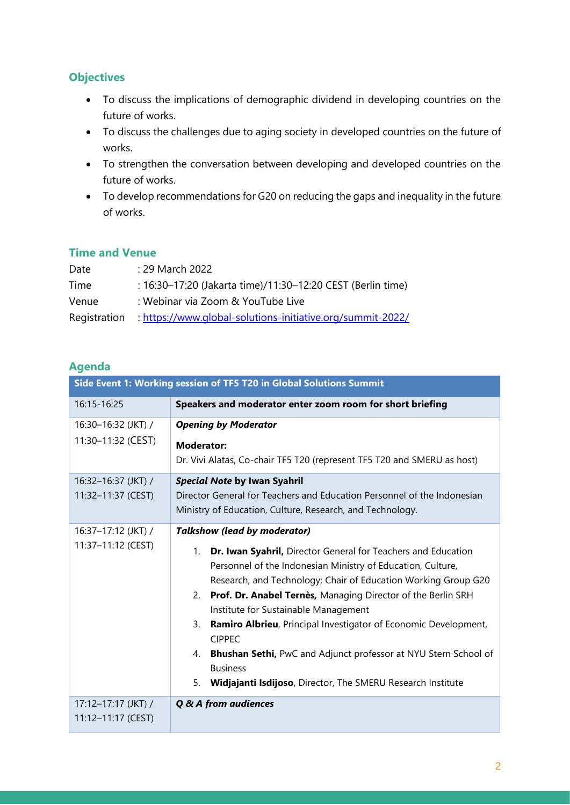## **Objectives**

- To discuss the implications of demographic dividend in developing countries on the future of works.
- To discuss the challenges due to aging society in developed countries on the future of works.
- To strengthen the conversation between developing and developed countries on the future of works.
- To develop recommendations for G20 on reducing the gaps and inequality in the future of works.

## **Time and Venue**

| Date         | : 29 March 2022                                             |
|--------------|-------------------------------------------------------------|
| Time         | : 16:30-17:20 (Jakarta time)/11:30-12:20 CEST (Berlin time) |
| Venue        | : Webinar via Zoom & YouTube Live                           |
| Registration | : https://www.global-solutions-initiative.org/summit-2022/  |

## **Agenda**

| Side Event 1: Working session of TF5 T20 in Global Solutions Summit |                                                                                                                                                                                                                                                                                                                                                                                                                                                                                                                                                                                                                      |  |
|---------------------------------------------------------------------|----------------------------------------------------------------------------------------------------------------------------------------------------------------------------------------------------------------------------------------------------------------------------------------------------------------------------------------------------------------------------------------------------------------------------------------------------------------------------------------------------------------------------------------------------------------------------------------------------------------------|--|
| 16:15-16:25                                                         | Speakers and moderator enter zoom room for short briefing                                                                                                                                                                                                                                                                                                                                                                                                                                                                                                                                                            |  |
| 16:30-16:32 (JKT) /<br>11:30-11:32 (CEST)                           | <b>Opening by Moderator</b><br><b>Moderator:</b><br>Dr. Vivi Alatas, Co-chair TF5 T20 (represent TF5 T20 and SMERU as host)                                                                                                                                                                                                                                                                                                                                                                                                                                                                                          |  |
| 16:32-16:37 (JKT) /<br>11:32-11:37 (CEST)                           | Special Note by Iwan Syahril<br>Director General for Teachers and Education Personnel of the Indonesian<br>Ministry of Education, Culture, Research, and Technology.                                                                                                                                                                                                                                                                                                                                                                                                                                                 |  |
| 16:37-17:12 (JKT) /<br>11:37-11:12 (CEST)                           | <b>Talkshow (lead by moderator)</b><br>Dr. Iwan Syahril, Director General for Teachers and Education<br>1.<br>Personnel of the Indonesian Ministry of Education, Culture,<br>Research, and Technology; Chair of Education Working Group G20<br>Prof. Dr. Anabel Ternès, Managing Director of the Berlin SRH<br>2.<br>Institute for Sustainable Management<br>3.<br>Ramiro Albrieu, Principal Investigator of Economic Development,<br><b>CIPPEC</b><br>Bhushan Sethi, PwC and Adjunct professor at NYU Stern School of<br>4.<br><b>Business</b><br>5.<br>Widjajanti Isdijoso, Director, The SMERU Research Institute |  |
| 17:12-17:17 (JKT) /<br>11:12-11:17 (CEST)                           | Q & A from audiences                                                                                                                                                                                                                                                                                                                                                                                                                                                                                                                                                                                                 |  |